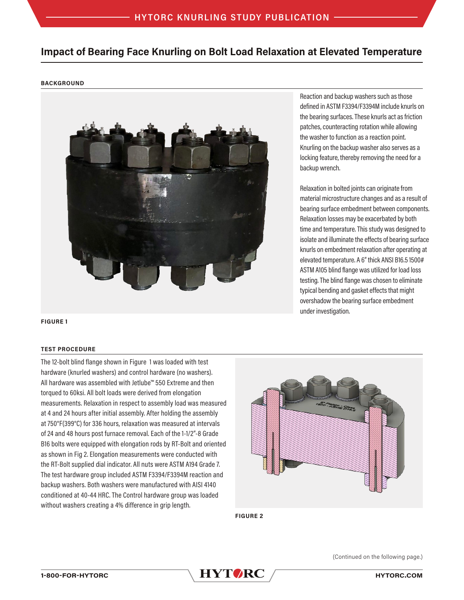# **Impact of Bearing Face Knurling on Bolt Load Relaxation at Elevated Temperature**

# **BACKGROUND**



**FIGURE 1**

# **TEST PROCEDURE**

The 12-bolt blind flange shown in Figure 1 was loaded with test hardware (knurled washers) and control hardware (no washers). All hardware was assembled with Jetlube™ 550 Extreme and then torqued to 60ksi. All bolt loads were derived from elongation measurements. Relaxation in respect to assembly load was measured at 4 and 24 hours after initial assembly. After holding the assembly at 750°F(399°C) for 336 hours, relaxation was measured at intervals of 24 and 48 hours post furnace removal. Each of the 1-1/2"-8 Grade B16 bolts were equipped with elongation rods by RT-Bolt and oriented as shown in Fig 2. Elongation measurements were conducted with the RT-Bolt supplied dial indicator. All nuts were ASTM A194 Grade 7. The test hardware group included ASTM F3394/F3394M reaction and backup washers. Both washers were manufactured with AISI 4140 conditioned at 40-44 HRC. The Control hardware group was loaded without washers creating a 4% difference in grip length.



**FIGURE 2**

Reaction and backup washers such as those defined in ASTM F3394/F3394M include knurls on the bearing surfaces. These knurls act as friction patches, counteracting rotation while allowing the washer to function as a reaction point. Knurling on the backup washer also serves as a locking feature, thereby removing the need for a backup wrench.

Relaxation in bolted joints can originate from material microstructure changes and as a result of bearing surface embedment between components. Relaxation losses may be exacerbated by both time and temperature. This study was designed to isolate and illuminate the effects of bearing surface knurls on embedment relaxation after operating at elevated temperature. A 6" thick ANSI B16.5 1500# ASTM A105 blind flange was utilized for load loss testing. The blind flange was chosen to eliminate typical bending and gasket effects that might overshadow the bearing surface embedment under investigation.